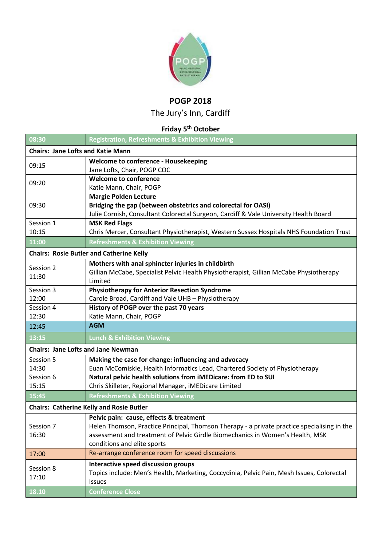

## **POGP 2018**

The Jury's Inn, Cardiff

## **Friday 5 th October**

| 08:30                                           | <b>Registration, Refreshments &amp; Exhibition Viewing</b>                                    |  |
|-------------------------------------------------|-----------------------------------------------------------------------------------------------|--|
| <b>Chairs: Jane Lofts and Katie Mann</b>        |                                                                                               |  |
| 09:15                                           | Welcome to conference - Housekeeping                                                          |  |
|                                                 | Jane Lofts, Chair, POGP COC                                                                   |  |
| 09:20                                           | <b>Welcome to conference</b>                                                                  |  |
|                                                 | Katie Mann, Chair, POGP                                                                       |  |
| 09:30                                           | <b>Margie Polden Lecture</b><br>Bridging the gap (between obstetrics and colorectal for OASI) |  |
|                                                 | Julie Cornish, Consultant Colorectal Surgeon, Cardiff & Vale University Health Board          |  |
| Session 1                                       | <b>MSK Red Flags</b>                                                                          |  |
| 10:15                                           | Chris Mercer, Consultant Physiotherapist, Western Sussex Hospitals NHS Foundation Trust       |  |
| 11:00                                           | <b>Refreshments &amp; Exhibition Viewing</b>                                                  |  |
| <b>Chairs: Rosie Butler and Catherine Kelly</b> |                                                                                               |  |
|                                                 | Mothers with anal sphincter injuries in childbirth                                            |  |
| Session 2<br>11:30                              | Gillian McCabe, Specialist Pelvic Health Physiotherapist, Gillian McCabe Physiotherapy        |  |
|                                                 | Limited                                                                                       |  |
| Session 3                                       | <b>Physiotherapy for Anterior Resection Syndrome</b>                                          |  |
| 12:00                                           | Carole Broad, Cardiff and Vale UHB - Physiotherapy                                            |  |
| Session 4                                       | History of POGP over the past 70 years                                                        |  |
| 12:30                                           | Katie Mann, Chair, POGP                                                                       |  |
| 12:45                                           | <b>AGM</b>                                                                                    |  |
| 13:15                                           | <b>Lunch &amp; Exhibition Viewing</b>                                                         |  |
| <b>Chairs: Jane Lofts and Jane Newman</b>       |                                                                                               |  |
| Session 5                                       | Making the case for change: influencing and advocacy                                          |  |
| 14:30                                           | Euan McComiskie, Health Informatics Lead, Chartered Society of Physiotherapy                  |  |
| Session 6                                       | Natural pelvic health solutions from iMEDicare: from ED to SUI                                |  |
| 15:15                                           | Chris Skilleter, Regional Manager, iMEDicare Limited                                          |  |
| 15:45                                           | <b>Refreshments &amp; Exhibition Viewing</b>                                                  |  |
| <b>Chairs: Catherine Kelly and Rosie Butler</b> |                                                                                               |  |
|                                                 | Pelvic pain: cause, effects & treatment                                                       |  |
| Session 7                                       | Helen Thomson, Practice Principal, Thomson Therapy - a private practice specialising in the   |  |
| 16:30                                           | assessment and treatment of Pelvic Girdle Biomechanics in Women's Health, MSK                 |  |
|                                                 | conditions and elite sports                                                                   |  |
| 17:00                                           | Re-arrange conference room for speed discussions                                              |  |
| Session 8<br>17:10                              | Interactive speed discussion groups                                                           |  |
|                                                 | Topics include: Men's Health, Marketing, Coccydinia, Pelvic Pain, Mesh Issues, Colorectal     |  |
|                                                 | Issues                                                                                        |  |
| 18.10                                           | <b>Conference Close</b>                                                                       |  |